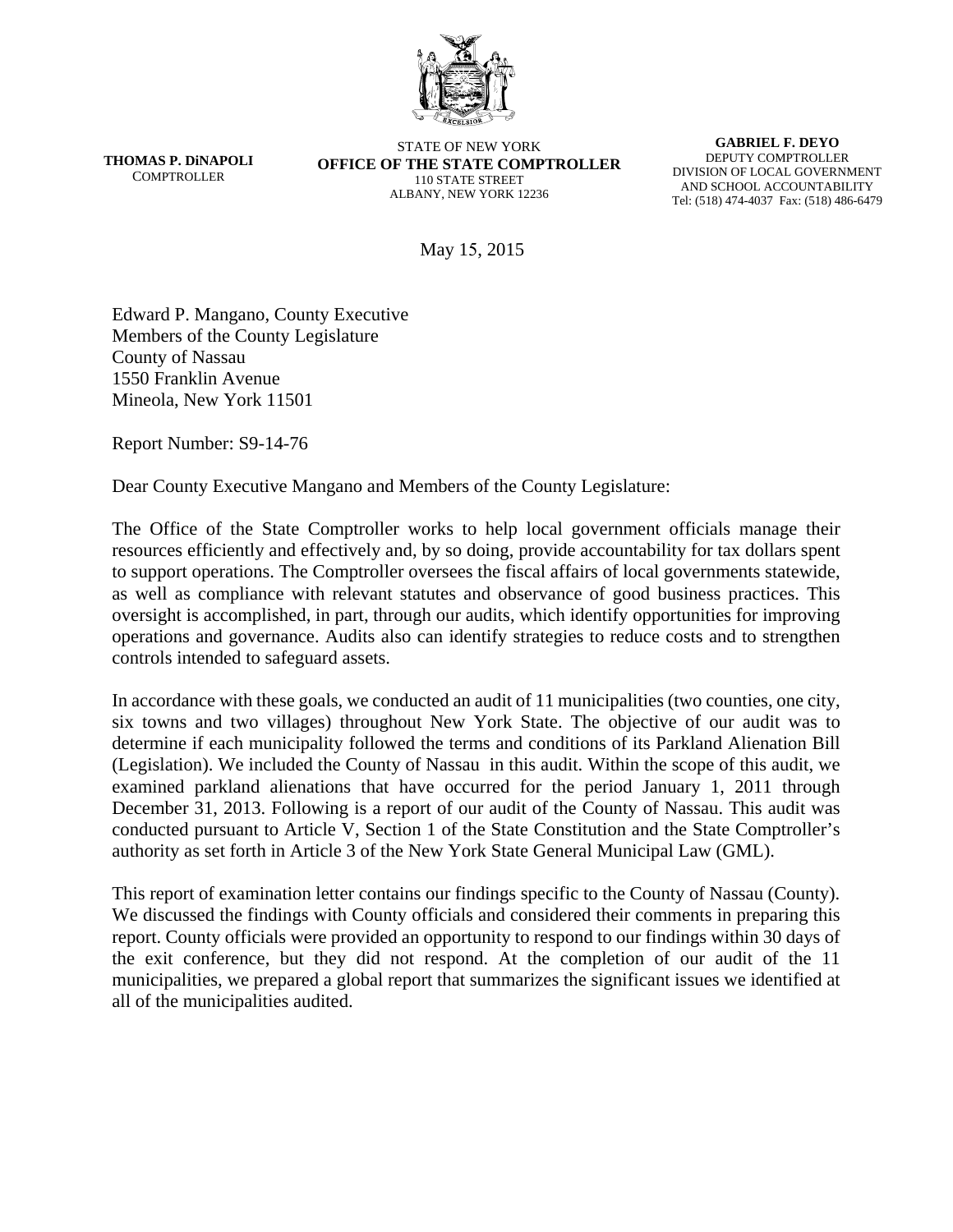

**THOMAS P. DiNAPOLI COMPTROLLER** 

STATE OF NEW YORK **OFFICE OF THE STATE COMPTROLLER**  110 STATE STREET ALBANY, NEW YORK 12236

**GABRIEL F. DEYO**  DEPUTY COMPTROLLER DIVISION OF LOCAL GOVERNMENT AND SCHOOL ACCOUNTABILITY Tel: (518) 474-4037 Fax: (518) 486-6479

May 15, 2015

Edward P. Mangano, County Executive Members of the County Legislature County of Nassau 1550 Franklin Avenue Mineola, New York 11501

Report Number: S9-14-76

Dear County Executive Mangano and Members of the County Legislature:

The Office of the State Comptroller works to help local government officials manage their resources efficiently and effectively and, by so doing, provide accountability for tax dollars spent to support operations. The Comptroller oversees the fiscal affairs of local governments statewide, as well as compliance with relevant statutes and observance of good business practices. This oversight is accomplished, in part, through our audits, which identify opportunities for improving operations and governance. Audits also can identify strategies to reduce costs and to strengthen controls intended to safeguard assets.

In accordance with these goals, we conducted an audit of 11 municipalities (two counties, one city, six towns and two villages) throughout New York State. The objective of our audit was to determine if each municipality followed the terms and conditions of its Parkland Alienation Bill (Legislation). We included the County of Nassau in this audit. Within the scope of this audit, we examined parkland alienations that have occurred for the period January 1, 2011 through December 31, 2013. Following is a report of our audit of the County of Nassau. This audit was conducted pursuant to Article V, Section 1 of the State Constitution and the State Comptroller's authority as set forth in Article 3 of the New York State General Municipal Law (GML).

This report of examination letter contains our findings specific to the County of Nassau (County). We discussed the findings with County officials and considered their comments in preparing this report. County officials were provided an opportunity to respond to our findings within 30 days of the exit conference, but they did not respond. At the completion of our audit of the 11 municipalities, we prepared a global report that summarizes the significant issues we identified at all of the municipalities audited.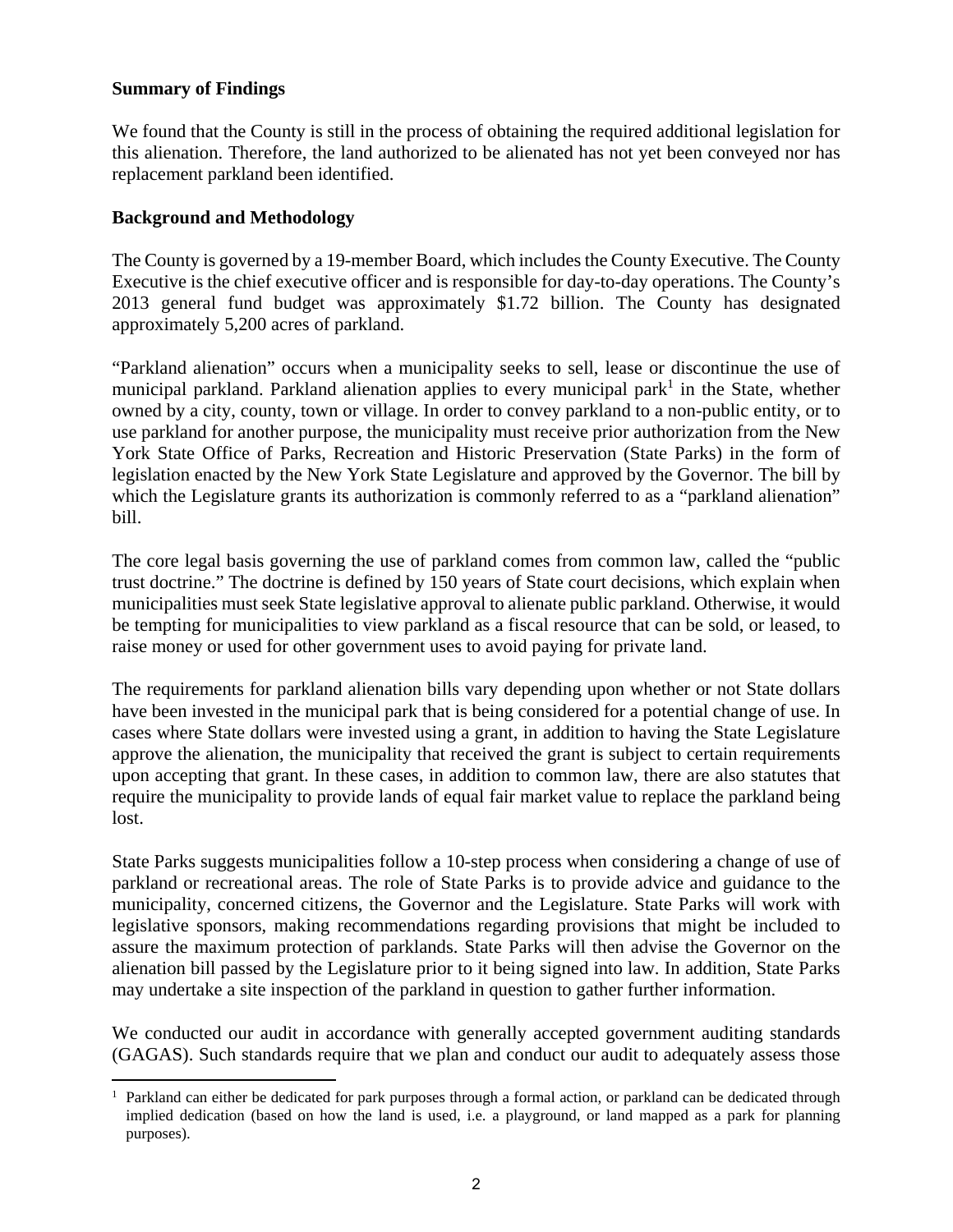### **Summary of Findings**

We found that the County is still in the process of obtaining the required additional legislation for this alienation. Therefore, the land authorized to be alienated has not yet been conveyed nor has replacement parkland been identified.

### **Background and Methodology**

The County is governed by a 19-member Board, which includes the County Executive. The County Executive is the chief executive officer and is responsible for day-to-day operations. The County's 2013 general fund budget was approximately \$1.72 billion. The County has designated approximately 5,200 acres of parkland.

"Parkland alienation" occurs when a municipality seeks to sell, lease or discontinue the use of municipal parkland. Parkland alienation applies to every municipal park<sup>1</sup> in the State, whether owned by a city, county, town or village. In order to convey parkland to a non-public entity, or to use parkland for another purpose, the municipality must receive prior authorization from the New York State Office of Parks, Recreation and Historic Preservation (State Parks) in the form of legislation enacted by the New York State Legislature and approved by the Governor. The bill by which the Legislature grants its authorization is commonly referred to as a "parkland alienation" bill.

The core legal basis governing the use of parkland comes from common law, called the "public trust doctrine." The doctrine is defined by 150 years of State court decisions, which explain when municipalities must seek State legislative approval to alienate public parkland. Otherwise, it would be tempting for municipalities to view parkland as a fiscal resource that can be sold, or leased, to raise money or used for other government uses to avoid paying for private land.

The requirements for parkland alienation bills vary depending upon whether or not State dollars have been invested in the municipal park that is being considered for a potential change of use. In cases where State dollars were invested using a grant, in addition to having the State Legislature approve the alienation, the municipality that received the grant is subject to certain requirements upon accepting that grant. In these cases, in addition to common law, there are also statutes that require the municipality to provide lands of equal fair market value to replace the parkland being lost.

State Parks suggests municipalities follow a 10-step process when considering a change of use of parkland or recreational areas. The role of State Parks is to provide advice and guidance to the municipality, concerned citizens, the Governor and the Legislature. State Parks will work with legislative sponsors, making recommendations regarding provisions that might be included to assure the maximum protection of parklands. State Parks will then advise the Governor on the alienation bill passed by the Legislature prior to it being signed into law. In addition, State Parks may undertake a site inspection of the parkland in question to gather further information.

We conducted our audit in accordance with generally accepted government auditing standards (GAGAS). Such standards require that we plan and conduct our audit to adequately assess those

 $\overline{a}$ <sup>1</sup> Parkland can either be dedicated for park purposes through a formal action, or parkland can be dedicated through implied dedication (based on how the land is used, i.e. a playground, or land mapped as a park for planning purposes).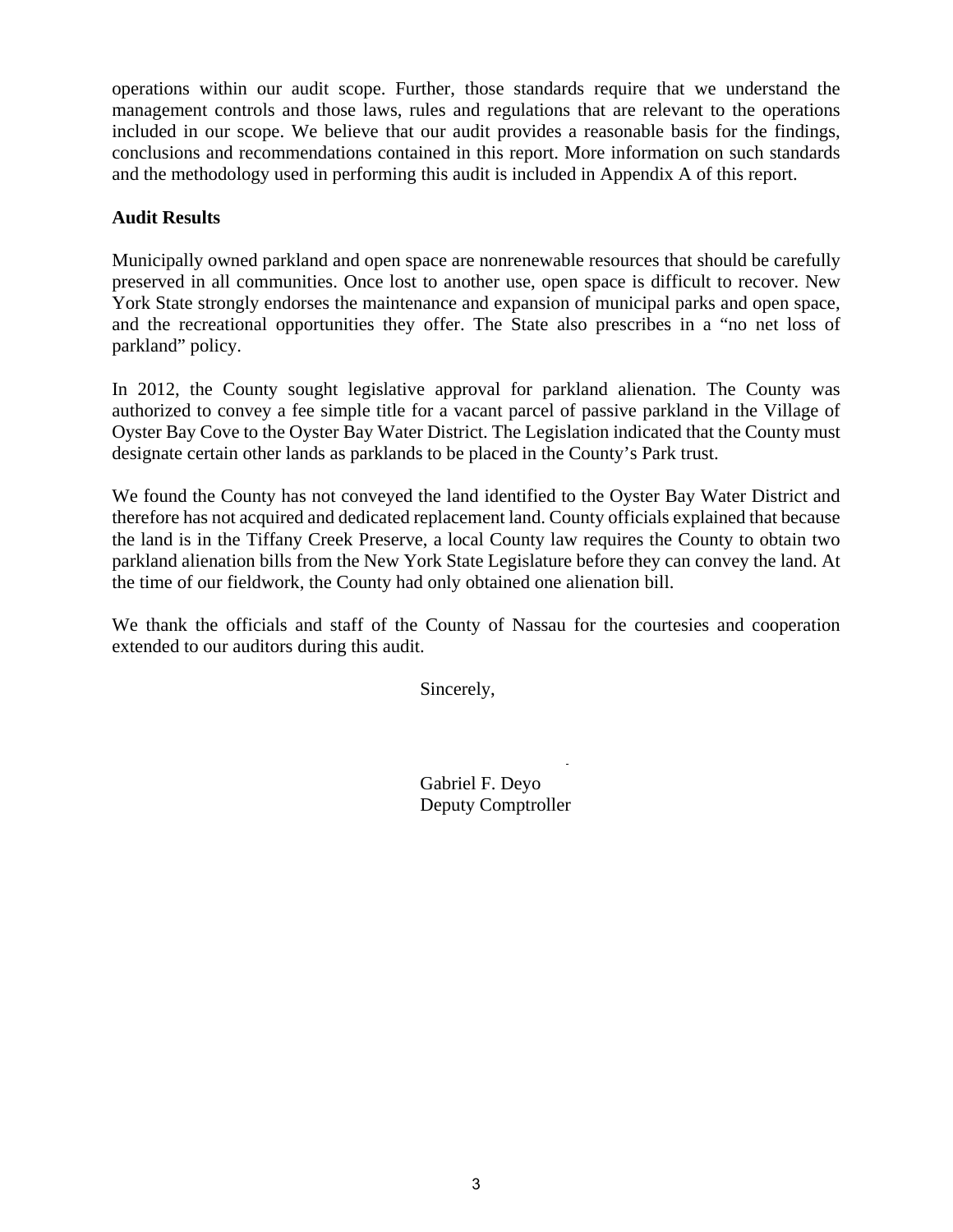operations within our audit scope. Further, those standards require that we understand the management controls and those laws, rules and regulations that are relevant to the operations included in our scope. We believe that our audit provides a reasonable basis for the findings, conclusions and recommendations contained in this report. More information on such standards and the methodology used in performing this audit is included in Appendix A of this report.

## **Audit Results**

Municipally owned parkland and open space are nonrenewable resources that should be carefully preserved in all communities. Once lost to another use, open space is difficult to recover. New York State strongly endorses the maintenance and expansion of municipal parks and open space, and the recreational opportunities they offer. The State also prescribes in a "no net loss of parkland" policy.

In 2012, the County sought legislative approval for parkland alienation. The County was authorized to convey a fee simple title for a vacant parcel of passive parkland in the Village of Oyster Bay Cove to the Oyster Bay Water District. The Legislation indicated that the County must designate certain other lands as parklands to be placed in the County's Park trust.

We found the County has not conveyed the land identified to the Oyster Bay Water District and therefore has not acquired and dedicated replacement land. County officials explained that because the land is in the Tiffany Creek Preserve, a local County law requires the County to obtain two parkland alienation bills from the New York State Legislature before they can convey the land. At the time of our fieldwork, the County had only obtained one alienation bill.

We thank the officials and staff of the County of Nassau for the courtesies and cooperation extended to our auditors during this audit.

Sincerely,

Gabriel F. Deyo Deputy Comptroller